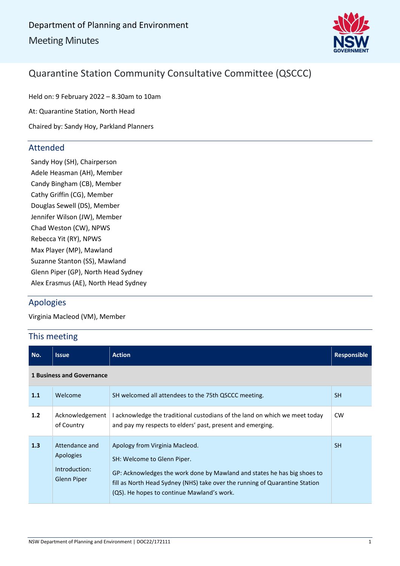

### Quarantine Station Community Consultative Committee (QSCCC)

Held on: 9 February 2022 – 8.30am to 10am At: Quarantine Station, North Head Chaired by: Sandy Hoy, Parkland Planners

### Attended

Sandy Hoy (SH), Chairperson Adele Heasman (AH), Member Candy Bingham (CB), Member Cathy Griffin (CG), Member Douglas Sewell (DS), Member Jennifer Wilson (JW), Member Chad Weston (CW), NPWS Rebecca Yit (RY), NPWS Max Player (MP), Mawland Suzanne Stanton (SS), Mawland Glenn Piper (GP), North Head Sydney Alex Erasmus (AE), North Head Sydney

### Apologies

Virginia Macleod (VM), Member

### This meeting

| No.                              | <b>Issue</b>                                                | <b>Action</b>                                                                                                                                                                                                                                                          | <b>Responsible</b> |
|----------------------------------|-------------------------------------------------------------|------------------------------------------------------------------------------------------------------------------------------------------------------------------------------------------------------------------------------------------------------------------------|--------------------|
| <b>1 Business and Governance</b> |                                                             |                                                                                                                                                                                                                                                                        |                    |
| 1.1                              | Welcome                                                     | SH welcomed all attendees to the 75th QSCCC meeting.                                                                                                                                                                                                                   | <b>SH</b>          |
| 1.2                              | Acknowledgement<br>of Country                               | I acknowledge the traditional custodians of the land on which we meet today<br>and pay my respects to elders' past, present and emerging.                                                                                                                              | <b>CW</b>          |
| 1.3                              | Attendance and<br>Apologies<br>Introduction:<br>Glenn Piper | Apology from Virginia Macleod.<br>SH: Welcome to Glenn Piper.<br>GP: Acknowledges the work done by Mawland and states he has big shoes to<br>fill as North Head Sydney (NHS) take over the running of Quarantine Station<br>(QS). He hopes to continue Mawland's work. | <b>SH</b>          |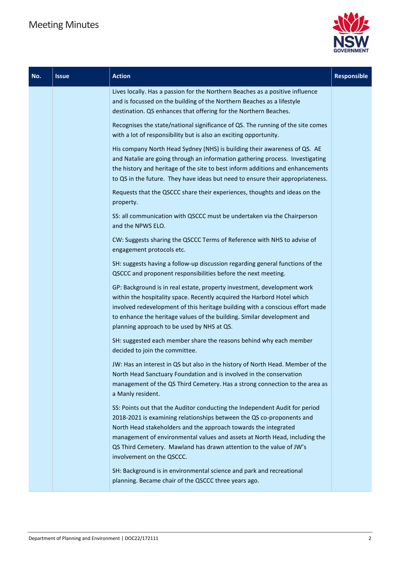

| No. | <b>Issue</b> | <b>Action</b>                                                                                                                                                                                                                                                                                                                                                                                             | Responsible |
|-----|--------------|-----------------------------------------------------------------------------------------------------------------------------------------------------------------------------------------------------------------------------------------------------------------------------------------------------------------------------------------------------------------------------------------------------------|-------------|
|     |              | Lives locally. Has a passion for the Northern Beaches as a positive influence<br>and is focussed on the building of the Northern Beaches as a lifestyle<br>destination. QS enhances that offering for the Northern Beaches.                                                                                                                                                                               |             |
|     |              | Recognises the state/national significance of QS. The running of the site comes<br>with a lot of responsibility but is also an exciting opportunity.                                                                                                                                                                                                                                                      |             |
|     |              | His company North Head Sydney (NHS) is building their awareness of QS. AE<br>and Natalie are going through an information gathering process. Investigating<br>the history and heritage of the site to best inform additions and enhancements<br>to QS in the future. They have ideas but need to ensure their appropriateness.                                                                            |             |
|     |              | Requests that the QSCCC share their experiences, thoughts and ideas on the<br>property.                                                                                                                                                                                                                                                                                                                   |             |
|     |              | SS: all communication with QSCCC must be undertaken via the Chairperson<br>and the NPWS ELO.                                                                                                                                                                                                                                                                                                              |             |
|     |              | CW: Suggests sharing the QSCCC Terms of Reference with NHS to advise of<br>engagement protocols etc.                                                                                                                                                                                                                                                                                                      |             |
|     |              | SH: suggests having a follow-up discussion regarding general functions of the<br>QSCCC and proponent responsibilities before the next meeting.                                                                                                                                                                                                                                                            |             |
|     |              | GP: Background is in real estate, property investment, development work<br>within the hospitality space. Recently acquired the Harbord Hotel which<br>involved redevelopment of this heritage building with a conscious effort made<br>to enhance the heritage values of the building. Similar development and<br>planning approach to be used by NHS at QS.                                              |             |
|     |              | SH: suggested each member share the reasons behind why each member<br>decided to join the committee.                                                                                                                                                                                                                                                                                                      |             |
|     |              | JW: Has an interest in QS but also in the history of North Head. Member of the<br>North Head Sanctuary Foundation and is involved in the conservation<br>management of the QS Third Cemetery. Has a strong connection to the area as<br>a Manly resident.                                                                                                                                                 |             |
|     |              | SS: Points out that the Auditor conducting the Independent Audit for period<br>2018-2021 is examining relationships between the QS co-proponents and<br>North Head stakeholders and the approach towards the integrated<br>management of environmental values and assets at North Head, including the<br>QS Third Cemetery. Mawland has drawn attention to the value of JW's<br>involvement on the QSCCC. |             |
|     |              | SH: Background is in environmental science and park and recreational<br>planning. Became chair of the QSCCC three years ago.                                                                                                                                                                                                                                                                              |             |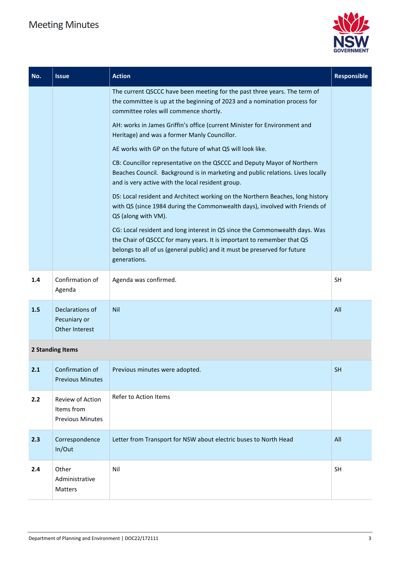

| No. | <b>Issue</b>                                              | <b>Action</b>                                                                                                                                                                                                                                      | <b>Responsible</b> |
|-----|-----------------------------------------------------------|----------------------------------------------------------------------------------------------------------------------------------------------------------------------------------------------------------------------------------------------------|--------------------|
|     |                                                           | The current QSCCC have been meeting for the past three years. The term of<br>the committee is up at the beginning of 2023 and a nomination process for<br>committee roles will commence shortly.                                                   |                    |
|     |                                                           | AH: works in James Griffin's office (current Minister for Environment and<br>Heritage) and was a former Manly Councillor.                                                                                                                          |                    |
|     |                                                           | AE works with GP on the future of what QS will look like.                                                                                                                                                                                          |                    |
|     |                                                           | CB: Councillor representative on the QSCCC and Deputy Mayor of Northern<br>Beaches Council. Background is in marketing and public relations. Lives locally<br>and is very active with the local resident group.                                    |                    |
|     |                                                           | DS: Local resident and Architect working on the Northern Beaches, long history<br>with QS (since 1984 during the Commonwealth days), involved with Friends of<br>QS (along with VM).                                                               |                    |
|     |                                                           | CG: Local resident and long interest in QS since the Commonwealth days. Was<br>the Chair of QSCCC for many years. It is important to remember that QS<br>belongs to all of us (general public) and it must be preserved for future<br>generations. |                    |
| 1.4 | Confirmation of<br>Agenda                                 | Agenda was confirmed.                                                                                                                                                                                                                              | SH                 |
| 1.5 | Declarations of<br>Pecuniary or<br>Other Interest         | <b>Nil</b>                                                                                                                                                                                                                                         | All                |
|     | 2 Standing Items                                          |                                                                                                                                                                                                                                                    |                    |
| 2.1 | Confirmation of<br><b>Previous Minutes</b>                | Previous minutes were adopted.                                                                                                                                                                                                                     | <b>SH</b>          |
| 2.2 | Review of Action<br>Items from<br><b>Previous Minutes</b> | Refer to Action Items                                                                                                                                                                                                                              |                    |
| 2.3 | Correspondence<br>In/Out                                  | Letter from Transport for NSW about electric buses to North Head                                                                                                                                                                                   | All                |
| 2.4 | Other                                                     | Nil                                                                                                                                                                                                                                                | <b>SH</b>          |

Administrative Matters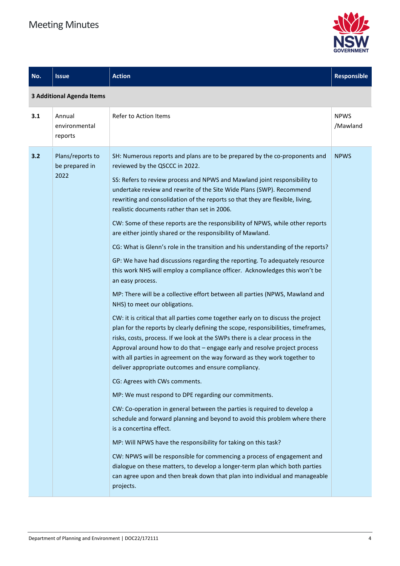

| No. | <b>Issue</b>                               | <b>Action</b>                                                                                                                                                                                                                                                                                                                                                                                                                                                                                                                                                                                                                                                                                                                                                                                                                                                                                                                                                                                                                                                                                                                                                                                                                                                                                                                                                                                                                                                                                                                                                                                                                                                                                                                                                                                                                                                                                                                                                                                                               | <b>Responsible</b>      |
|-----|--------------------------------------------|-----------------------------------------------------------------------------------------------------------------------------------------------------------------------------------------------------------------------------------------------------------------------------------------------------------------------------------------------------------------------------------------------------------------------------------------------------------------------------------------------------------------------------------------------------------------------------------------------------------------------------------------------------------------------------------------------------------------------------------------------------------------------------------------------------------------------------------------------------------------------------------------------------------------------------------------------------------------------------------------------------------------------------------------------------------------------------------------------------------------------------------------------------------------------------------------------------------------------------------------------------------------------------------------------------------------------------------------------------------------------------------------------------------------------------------------------------------------------------------------------------------------------------------------------------------------------------------------------------------------------------------------------------------------------------------------------------------------------------------------------------------------------------------------------------------------------------------------------------------------------------------------------------------------------------------------------------------------------------------------------------------------------------|-------------------------|
|     | <b>3 Additional Agenda Items</b>           |                                                                                                                                                                                                                                                                                                                                                                                                                                                                                                                                                                                                                                                                                                                                                                                                                                                                                                                                                                                                                                                                                                                                                                                                                                                                                                                                                                                                                                                                                                                                                                                                                                                                                                                                                                                                                                                                                                                                                                                                                             |                         |
| 3.1 | Annual<br>environmental<br>reports         | <b>Refer to Action Items</b>                                                                                                                                                                                                                                                                                                                                                                                                                                                                                                                                                                                                                                                                                                                                                                                                                                                                                                                                                                                                                                                                                                                                                                                                                                                                                                                                                                                                                                                                                                                                                                                                                                                                                                                                                                                                                                                                                                                                                                                                | <b>NPWS</b><br>/Mawland |
| 3.2 | Plans/reports to<br>be prepared in<br>2022 | SH: Numerous reports and plans are to be prepared by the co-proponents and<br>reviewed by the QSCCC in 2022.<br>SS: Refers to review process and NPWS and Mawland joint responsibility to<br>undertake review and rewrite of the Site Wide Plans (SWP). Recommend<br>rewriting and consolidation of the reports so that they are flexible, living,<br>realistic documents rather than set in 2006.<br>CW: Some of these reports are the responsibility of NPWS, while other reports<br>are either jointly shared or the responsibility of Mawland.<br>CG: What is Glenn's role in the transition and his understanding of the reports?<br>GP: We have had discussions regarding the reporting. To adequately resource<br>this work NHS will employ a compliance officer. Acknowledges this won't be<br>an easy process.<br>MP: There will be a collective effort between all parties (NPWS, Mawland and<br>NHS) to meet our obligations.<br>CW: it is critical that all parties come together early on to discuss the project<br>plan for the reports by clearly defining the scope, responsibilities, timeframes,<br>risks, costs, process. If we look at the SWPs there is a clear process in the<br>Approval around how to do that - engage early and resolve project process<br>with all parties in agreement on the way forward as they work together to<br>deliver appropriate outcomes and ensure compliancy.<br>CG: Agrees with CWs comments.<br>MP: We must respond to DPE regarding our commitments.<br>CW: Co-operation in general between the parties is required to develop a<br>schedule and forward planning and beyond to avoid this problem where there<br>is a concertina effect.<br>MP: Will NPWS have the responsibility for taking on this task?<br>CW: NPWS will be responsible for commencing a process of engagement and<br>dialogue on these matters, to develop a longer-term plan which both parties<br>can agree upon and then break down that plan into individual and manageable<br>projects. | <b>NPWS</b>             |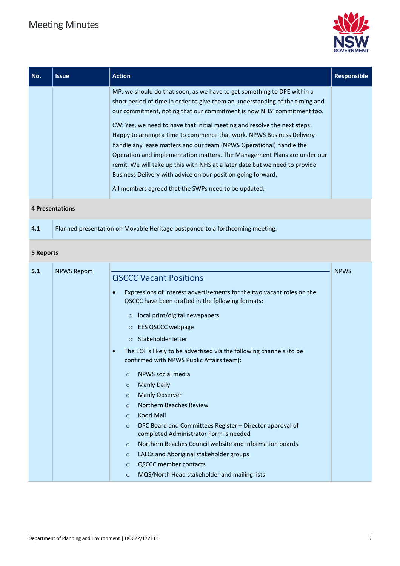

| MP: we should do that soon, as we have to get something to DPE within a<br>short period of time in order to give them an understanding of the timing and<br>our commitment, noting that our commitment is now NHS' commitment too.<br>CW: Yes, we need to have that initial meeting and resolve the next steps.                                                                                                                 | No. | <b>Issue</b> | <b>Action</b> | <b>Responsible</b> |
|---------------------------------------------------------------------------------------------------------------------------------------------------------------------------------------------------------------------------------------------------------------------------------------------------------------------------------------------------------------------------------------------------------------------------------|-----|--------------|---------------|--------------------|
| Happy to arrange a time to commence that work. NPWS Business Delivery<br>handle any lease matters and our team (NPWS Operational) handle the<br>Operation and implementation matters. The Management Plans are under our<br>remit. We will take up this with NHS at a later date but we need to provide<br>Business Delivery with advice on our position going forward.<br>All members agreed that the SWPs need to be updated. |     |              |               |                    |

#### **4 Presentations**

| 4.1 | Planned presentation on Movable Heritage postponed to a forthcoming meeting. |
|-----|------------------------------------------------------------------------------|
|-----|------------------------------------------------------------------------------|

#### **5 Reports**

| 5.1 | <b>NPWS Report</b> |                                                                                                                                           | <b>NPWS</b> |
|-----|--------------------|-------------------------------------------------------------------------------------------------------------------------------------------|-------------|
|     |                    | <b>QSCCC Vacant Positions</b>                                                                                                             |             |
|     |                    | Expressions of interest advertisements for the two vacant roles on the<br>$\epsilon$<br>QSCCC have been drafted in the following formats: |             |
|     |                    | local print/digital newspapers<br>$\circ$                                                                                                 |             |
|     |                    | <b>EES QSCCC webpage</b><br>$\circ$                                                                                                       |             |
|     |                    | Stakeholder letter<br>$\circ$                                                                                                             |             |
|     |                    | The EOI is likely to be advertised via the following channels (to be<br>$\bullet$<br>confirmed with NPWS Public Affairs team):            |             |
|     |                    | NPWS social media<br>$\circ$                                                                                                              |             |
|     |                    | <b>Manly Daily</b><br>$\circ$                                                                                                             |             |
|     |                    | <b>Manly Observer</b><br>$\circ$                                                                                                          |             |
|     |                    | Northern Beaches Review<br>$\circ$                                                                                                        |             |
|     |                    | Koori Mail<br>$\circ$                                                                                                                     |             |
|     |                    | DPC Board and Committees Register - Director approval of<br>$\circ$<br>completed Administrator Form is needed                             |             |
|     |                    | Northern Beaches Council website and information boards<br>$\circ$                                                                        |             |
|     |                    | LALCs and Aboriginal stakeholder groups<br>$\circ$                                                                                        |             |
|     |                    | <b>QSCCC member contacts</b><br>$\circ$                                                                                                   |             |
|     |                    | MQS/North Head stakeholder and mailing lists<br>$\circ$                                                                                   |             |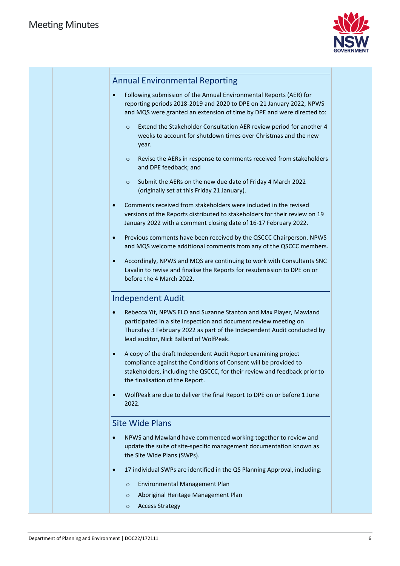

### Annual Environmental Reporting

- Following submission of the Annual Environmental Reports (AER) for reporting periods 2018-2019 and 2020 to DPE on 21 January 2022, NPWS and MQS were granted an extension of time by DPE and were directed to:
	- o Extend the Stakeholder Consultation AER review period for another 4 weeks to account for shutdown times over Christmas and the new year.
	- o Revise the AERs in response to comments received from stakeholders and DPE feedback; and
	- o Submit the AERs on the new due date of Friday 4 March 2022 (originally set at this Friday 21 January).
- Comments received from stakeholders were included in the revised versions of the Reports distributed to stakeholders for their review on 19 January 2022 with a comment closing date of 16-17 February 2022.
- Previous comments have been received by the QSCCC Chairperson. NPWS and MQS welcome additional comments from any of the QSCCC members.
- Accordingly, NPWS and MQS are continuing to work with Consultants SNC Lavalin to revise and finalise the Reports for resubmission to DPE on or before the 4 March 2022.

#### Independent Audit

- Rebecca Yit, NPWS ELO and Suzanne Stanton and Max Player, Mawland participated in a site inspection and document review meeting on Thursday 3 February 2022 as part of the Independent Audit conducted by lead auditor, Nick Ballard of WolfPeak.
- A copy of the draft Independent Audit Report examining project compliance against the Conditions of Consent will be provided to stakeholders, including the QSCCC, for their review and feedback prior to the finalisation of the Report.
- WolfPeak are due to deliver the final Report to DPE on or before 1 June 2022.

#### Site Wide Plans

- NPWS and Mawland have commenced working together to review and update the suite of site-specific management documentation known as the Site Wide Plans (SWPs).
- 17 individual SWPs are identified in the QS Planning Approval, including:
	- o Environmental Management Plan
	- o Aboriginal Heritage Management Plan
	- o Access Strategy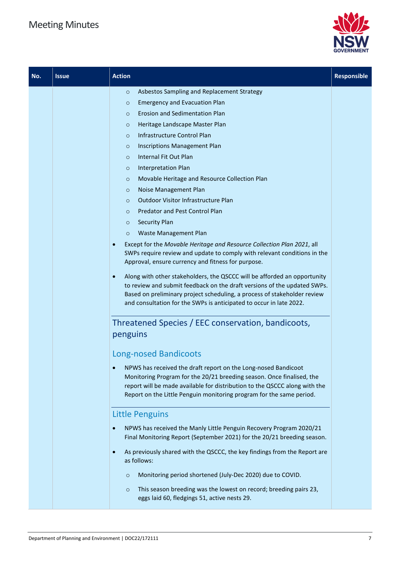

| No. | <b>Issue</b> | <b>Action</b>                                                                                                                                                                                                                                                                                                                                                                                                                                                                                                                                                                                                                                                                                                                                                                                                                                                                                                                                                                                                                                                                                                                                                                                                                                                                                                                                                                                                                                                                                                                                                                                                                                                                                                                                                                                                                                                                                           | <b>Responsible</b> |
|-----|--------------|---------------------------------------------------------------------------------------------------------------------------------------------------------------------------------------------------------------------------------------------------------------------------------------------------------------------------------------------------------------------------------------------------------------------------------------------------------------------------------------------------------------------------------------------------------------------------------------------------------------------------------------------------------------------------------------------------------------------------------------------------------------------------------------------------------------------------------------------------------------------------------------------------------------------------------------------------------------------------------------------------------------------------------------------------------------------------------------------------------------------------------------------------------------------------------------------------------------------------------------------------------------------------------------------------------------------------------------------------------------------------------------------------------------------------------------------------------------------------------------------------------------------------------------------------------------------------------------------------------------------------------------------------------------------------------------------------------------------------------------------------------------------------------------------------------------------------------------------------------------------------------------------------------|--------------------|
|     |              | Asbestos Sampling and Replacement Strategy<br>$\circ$<br><b>Emergency and Evacuation Plan</b><br>$\circ$<br>Erosion and Sedimentation Plan<br>$\circ$<br>Heritage Landscape Master Plan<br>$\circ$<br>Infrastructure Control Plan<br>$\circ$<br><b>Inscriptions Management Plan</b><br>$\circ$<br><b>Internal Fit Out Plan</b><br>$\circ$<br>Interpretation Plan<br>$\circ$<br>Movable Heritage and Resource Collection Plan<br>$\circ$<br>Noise Management Plan<br>$\circ$<br>Outdoor Visitor Infrastructure Plan<br>$\circ$<br>Predator and Pest Control Plan<br>$\circ$<br><b>Security Plan</b><br>$\circ$<br>Waste Management Plan<br>$\circ$<br>Except for the Movable Heritage and Resource Collection Plan 2021, all<br>$\bullet$<br>SWPs require review and update to comply with relevant conditions in the<br>Approval, ensure currency and fitness for purpose.<br>Along with other stakeholders, the QSCCC will be afforded an opportunity<br>$\bullet$<br>to review and submit feedback on the draft versions of the updated SWPs.<br>Based on preliminary project scheduling, a process of stakeholder review<br>and consultation for the SWPs is anticipated to occur in late 2022.<br>Threatened Species / EEC conservation, bandicoots,<br>penguins<br><b>Long-nosed Bandicoots</b><br>NPWS has received the draft report on the Long-nosed Bandicoot<br>Monitoring Program for the 20/21 breeding season. Once finalised, the<br>report will be made available for distribution to the QSCCC along with the<br>Report on the Little Penguin monitoring program for the same period.<br><b>Little Penguins</b><br>NPWS has received the Manly Little Penguin Recovery Program 2020/21<br>$\bullet$<br>Final Monitoring Report (September 2021) for the 20/21 breeding season.<br>As previously shared with the QSCCC, the key findings from the Report are<br>$\bullet$<br>as follows: |                    |
|     |              | Monitoring period shortened (July-Dec 2020) due to COVID.<br>$\circ$<br>This season breeding was the lowest on record; breeding pairs 23,<br>$\circ$<br>eggs laid 60, fledgings 51, active nests 29.                                                                                                                                                                                                                                                                                                                                                                                                                                                                                                                                                                                                                                                                                                                                                                                                                                                                                                                                                                                                                                                                                                                                                                                                                                                                                                                                                                                                                                                                                                                                                                                                                                                                                                    |                    |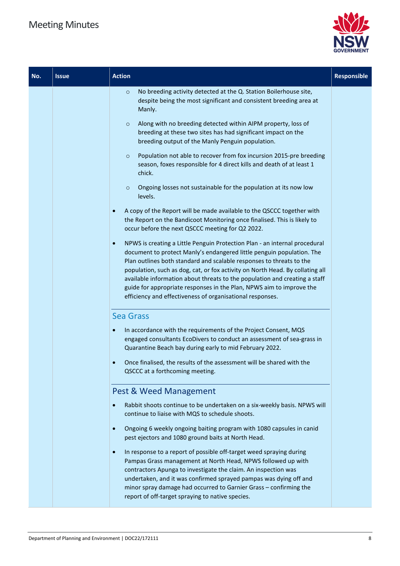

| No. | <b>Issue</b> | <b>Action</b>                                                                                                                                                                                                                                                                                                                                                                                                                                                                                                                                | <b>Responsible</b> |
|-----|--------------|----------------------------------------------------------------------------------------------------------------------------------------------------------------------------------------------------------------------------------------------------------------------------------------------------------------------------------------------------------------------------------------------------------------------------------------------------------------------------------------------------------------------------------------------|--------------------|
|     |              | No breeding activity detected at the Q. Station Boilerhouse site,<br>$\circ$<br>despite being the most significant and consistent breeding area at<br>Manly.                                                                                                                                                                                                                                                                                                                                                                                 |                    |
|     |              | Along with no breeding detected within AIPM property, loss of<br>$\circ$<br>breeding at these two sites has had significant impact on the<br>breeding output of the Manly Penguin population.                                                                                                                                                                                                                                                                                                                                                |                    |
|     |              | Population not able to recover from fox incursion 2015-pre breeding<br>$\circ$<br>season, foxes responsible for 4 direct kills and death of at least 1<br>chick.                                                                                                                                                                                                                                                                                                                                                                             |                    |
|     |              | Ongoing losses not sustainable for the population at its now low<br>$\circ$<br>levels.                                                                                                                                                                                                                                                                                                                                                                                                                                                       |                    |
|     |              | A copy of the Report will be made available to the QSCCC together with<br>the Report on the Bandicoot Monitoring once finalised. This is likely to<br>occur before the next QSCCC meeting for Q2 2022.                                                                                                                                                                                                                                                                                                                                       |                    |
|     |              | NPWS is creating a Little Penguin Protection Plan - an internal procedural<br>$\bullet$<br>document to protect Manly's endangered little penguin population. The<br>Plan outlines both standard and scalable responses to threats to the<br>population, such as dog, cat, or fox activity on North Head. By collating all<br>available information about threats to the population and creating a staff<br>guide for appropriate responses in the Plan, NPWS aim to improve the<br>efficiency and effectiveness of organisational responses. |                    |
|     |              | <b>Sea Grass</b>                                                                                                                                                                                                                                                                                                                                                                                                                                                                                                                             |                    |
|     |              | In accordance with the requirements of the Project Consent, MQS<br>engaged consultants EcoDivers to conduct an assessment of sea-grass in<br>Quarantine Beach bay during early to mid February 2022.                                                                                                                                                                                                                                                                                                                                         |                    |
|     |              | Once finalised, the results of the assessment will be shared with the<br>$\bullet$<br>QSCCC at a forthcoming meeting.                                                                                                                                                                                                                                                                                                                                                                                                                        |                    |
|     |              | Pest & Weed Management                                                                                                                                                                                                                                                                                                                                                                                                                                                                                                                       |                    |
|     |              | Rabbit shoots continue to be undertaken on a six-weekly basis. NPWS will<br>$\bullet$<br>continue to liaise with MQS to schedule shoots.                                                                                                                                                                                                                                                                                                                                                                                                     |                    |
|     |              | Ongoing 6 weekly ongoing baiting program with 1080 capsules in canid<br>$\bullet$<br>pest ejectors and 1080 ground baits at North Head.                                                                                                                                                                                                                                                                                                                                                                                                      |                    |
|     |              | In response to a report of possible off-target weed spraying during<br>$\bullet$<br>Pampas Grass management at North Head, NPWS followed up with<br>contractors Apunga to investigate the claim. An inspection was<br>undertaken, and it was confirmed sprayed pampas was dying off and<br>minor spray damage had occurred to Garnier Grass - confirming the<br>report of off-target spraying to native species.                                                                                                                             |                    |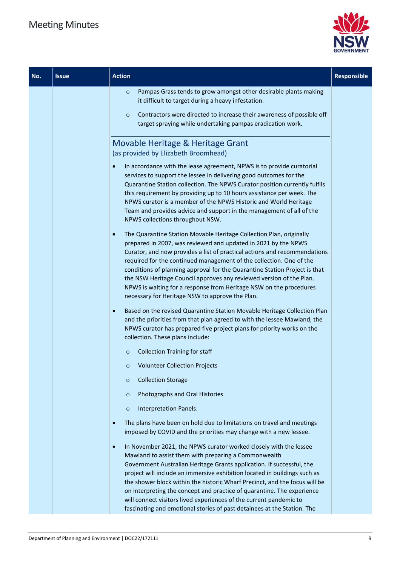

| No. | <b>Issue</b> | <b>Action</b>                                                                                                                                                                                                                                                                                                                                                                                                                                                                                                                                                                                         | Responsible |
|-----|--------------|-------------------------------------------------------------------------------------------------------------------------------------------------------------------------------------------------------------------------------------------------------------------------------------------------------------------------------------------------------------------------------------------------------------------------------------------------------------------------------------------------------------------------------------------------------------------------------------------------------|-------------|
|     |              | Pampas Grass tends to grow amongst other desirable plants making<br>$\circ$<br>it difficult to target during a heavy infestation.<br>Contractors were directed to increase their awareness of possible off-<br>$\circ$<br>target spraying while undertaking pampas eradication work.                                                                                                                                                                                                                                                                                                                  |             |
|     |              | Movable Heritage & Heritage Grant<br>(as provided by Elizabeth Broomhead)<br>In accordance with the lease agreement, NPWS is to provide curatorial<br>$\bullet$<br>services to support the lessee in delivering good outcomes for the<br>Quarantine Station collection. The NPWS Curator position currently fulfils<br>this requirement by providing up to 10 hours assistance per week. The                                                                                                                                                                                                          |             |
|     |              | NPWS curator is a member of the NPWS Historic and World Heritage<br>Team and provides advice and support in the management of all of the<br>NPWS collections throughout NSW.                                                                                                                                                                                                                                                                                                                                                                                                                          |             |
|     |              | The Quarantine Station Movable Heritage Collection Plan, originally<br>$\bullet$<br>prepared in 2007, was reviewed and updated in 2021 by the NPWS<br>Curator, and now provides a list of practical actions and recommendations<br>required for the continued management of the collection. One of the<br>conditions of planning approval for the Quarantine Station Project is that<br>the NSW Heritage Council approves any reviewed version of the Plan.<br>NPWS is waiting for a response from Heritage NSW on the procedures<br>necessary for Heritage NSW to approve the Plan.                  |             |
|     |              | Based on the revised Quarantine Station Movable Heritage Collection Plan<br>$\bullet$<br>and the priorities from that plan agreed to with the lessee Mawland, the<br>NPWS curator has prepared five project plans for priority works on the<br>collection. These plans include:                                                                                                                                                                                                                                                                                                                       |             |
|     |              | <b>Collection Training for staff</b><br>$\circ$                                                                                                                                                                                                                                                                                                                                                                                                                                                                                                                                                       |             |
|     |              | <b>Volunteer Collection Projects</b><br>$\circ$                                                                                                                                                                                                                                                                                                                                                                                                                                                                                                                                                       |             |
|     |              | <b>Collection Storage</b><br>$\circ$                                                                                                                                                                                                                                                                                                                                                                                                                                                                                                                                                                  |             |
|     |              | Photographs and Oral Histories<br>$\circ$                                                                                                                                                                                                                                                                                                                                                                                                                                                                                                                                                             |             |
|     |              | Interpretation Panels.<br>$\circ$                                                                                                                                                                                                                                                                                                                                                                                                                                                                                                                                                                     |             |
|     |              | The plans have been on hold due to limitations on travel and meetings<br>$\bullet$<br>imposed by COVID and the priorities may change with a new lessee.                                                                                                                                                                                                                                                                                                                                                                                                                                               |             |
|     |              | In November 2021, the NPWS curator worked closely with the lessee<br>$\bullet$<br>Mawland to assist them with preparing a Commonwealth<br>Government Australian Heritage Grants application. If successful, the<br>project will include an immersive exhibition located in buildings such as<br>the shower block within the historic Wharf Precinct, and the focus will be<br>on interpreting the concept and practice of quarantine. The experience<br>will connect visitors lived experiences of the current pandemic to<br>fascinating and emotional stories of past detainees at the Station. The |             |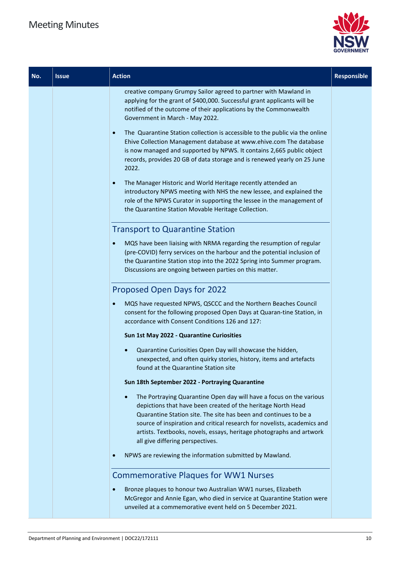

| No. | <b>Issue</b> | <b>Action</b>                                                                                                                                                                                                                                                                                                                                                                                   | Responsible |
|-----|--------------|-------------------------------------------------------------------------------------------------------------------------------------------------------------------------------------------------------------------------------------------------------------------------------------------------------------------------------------------------------------------------------------------------|-------------|
|     |              | creative company Grumpy Sailor agreed to partner with Mawland in<br>applying for the grant of \$400,000. Successful grant applicants will be<br>notified of the outcome of their applications by the Commonwealth<br>Government in March - May 2022.                                                                                                                                            |             |
|     |              | The Quarantine Station collection is accessible to the public via the online<br>$\bullet$<br>Ehive Collection Management database at www.ehive.com The database<br>is now managed and supported by NPWS. It contains 2,665 public object<br>records, provides 20 GB of data storage and is renewed yearly on 25 June<br>2022.                                                                   |             |
|     |              | The Manager Historic and World Heritage recently attended an<br>$\bullet$<br>introductory NPWS meeting with NHS the new lessee, and explained the<br>role of the NPWS Curator in supporting the lessee in the management of<br>the Quarantine Station Movable Heritage Collection.                                                                                                              |             |
|     |              | <b>Transport to Quarantine Station</b>                                                                                                                                                                                                                                                                                                                                                          |             |
|     |              | MQS have been liaising with NRMA regarding the resumption of regular<br>$\bullet$<br>(pre-COVID) ferry services on the harbour and the potential inclusion of<br>the Quarantine Station stop into the 2022 Spring into Summer program.<br>Discussions are ongoing between parties on this matter.                                                                                               |             |
|     |              | Proposed Open Days for 2022                                                                                                                                                                                                                                                                                                                                                                     |             |
|     |              | MQS have requested NPWS, QSCCC and the Northern Beaches Council<br>$\bullet$<br>consent for the following proposed Open Days at Quaran-tine Station, in<br>accordance with Consent Conditions 126 and 127:                                                                                                                                                                                      |             |
|     |              | Sun 1st May 2022 - Quarantine Curiosities                                                                                                                                                                                                                                                                                                                                                       |             |
|     |              | Quarantine Curiosities Open Day will showcase the hidden,<br>unexpected, and often quirky stories, history, items and artefacts<br>found at the Quarantine Station site                                                                                                                                                                                                                         |             |
|     |              | Sun 18th September 2022 - Portraying Quarantine                                                                                                                                                                                                                                                                                                                                                 |             |
|     |              | The Portraying Quarantine Open day will have a focus on the various<br>depictions that have been created of the heritage North Head<br>Quarantine Station site. The site has been and continues to be a<br>source of inspiration and critical research for novelists, academics and<br>artists. Textbooks, novels, essays, heritage photographs and artwork<br>all give differing perspectives. |             |
|     |              | NPWS are reviewing the information submitted by Mawland.                                                                                                                                                                                                                                                                                                                                        |             |
|     |              | <b>Commemorative Plaques for WW1 Nurses</b><br>Bronze plaques to honour two Australian WW1 nurses, Elizabeth<br>McGregor and Annie Egan, who died in service at Quarantine Station were                                                                                                                                                                                                         |             |
|     |              | unveiled at a commemorative event held on 5 December 2021.                                                                                                                                                                                                                                                                                                                                      |             |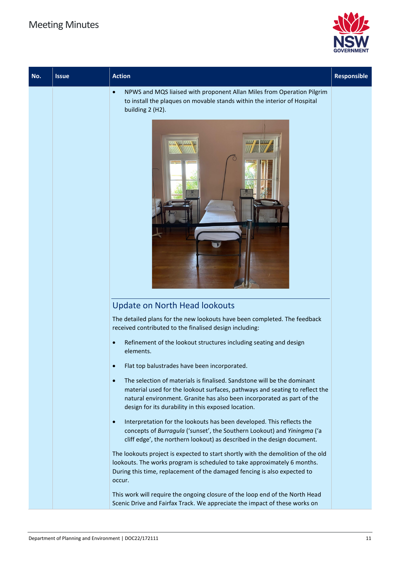

| No. | <b>Issue</b> | <b>Action</b>                                                                                                                                                                                                                                                                                        | Responsible |
|-----|--------------|------------------------------------------------------------------------------------------------------------------------------------------------------------------------------------------------------------------------------------------------------------------------------------------------------|-------------|
|     |              | NPWS and MQS liaised with proponent Allan Miles from Operation Pilgrim<br>$\bullet$<br>to install the plaques on movable stands within the interior of Hospital<br>building 2 (H2).                                                                                                                  |             |
|     |              | w                                                                                                                                                                                                                                                                                                    |             |
|     |              | <b>Update on North Head lookouts</b>                                                                                                                                                                                                                                                                 |             |
|     |              | The detailed plans for the new lookouts have been completed. The feedback<br>received contributed to the finalised design including:                                                                                                                                                                 |             |
|     |              | Refinement of the lookout structures including seating and design<br>$\bullet$<br>elements.                                                                                                                                                                                                          |             |
|     |              | Flat top balustrades have been incorporated.                                                                                                                                                                                                                                                         |             |
|     |              | The selection of materials is finalised. Sandstone will be the dominant<br>$\bullet$<br>material used for the lookout surfaces, pathways and seating to reflect the<br>natural environment. Granite has also been incorporated as part of the<br>design for its durability in this exposed location. |             |
|     |              | Interpretation for the lookouts has been developed. This reflects the<br>$\bullet$<br>concepts of Burragula ('sunset', the Southern Lookout) and Yiningma ('a<br>cliff edge', the northern lookout) as described in the design document.                                                             |             |
|     |              | The lookouts project is expected to start shortly with the demolition of the old<br>lookouts. The works program is scheduled to take approximately 6 months.<br>During this time, replacement of the damaged fencing is also expected to<br>occur.                                                   |             |
|     |              | This work will require the ongoing closure of the loop end of the North Head<br>Scenic Drive and Fairfax Track. We appreciate the impact of these works on                                                                                                                                           |             |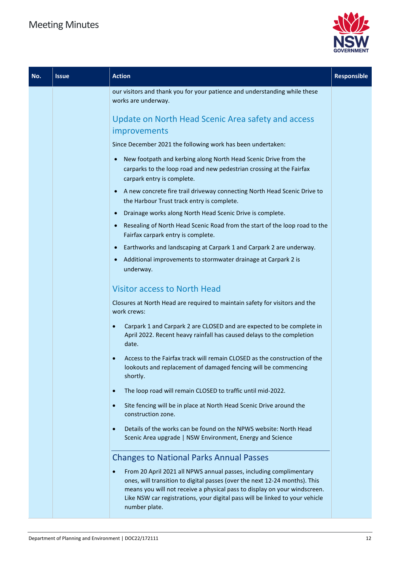

| No. | <b>Issue</b> | <b>Action</b>                                                                                                                                                                                                                                                                                                                               | <b>Responsible</b> |
|-----|--------------|---------------------------------------------------------------------------------------------------------------------------------------------------------------------------------------------------------------------------------------------------------------------------------------------------------------------------------------------|--------------------|
|     |              | our visitors and thank you for your patience and understanding while these<br>works are underway.                                                                                                                                                                                                                                           |                    |
|     |              | Update on North Head Scenic Area safety and access<br>improvements                                                                                                                                                                                                                                                                          |                    |
|     |              | Since December 2021 the following work has been undertaken:                                                                                                                                                                                                                                                                                 |                    |
|     |              | New footpath and kerbing along North Head Scenic Drive from the<br>$\bullet$<br>carparks to the loop road and new pedestrian crossing at the Fairfax<br>carpark entry is complete.                                                                                                                                                          |                    |
|     |              | A new concrete fire trail driveway connecting North Head Scenic Drive to<br>$\bullet$<br>the Harbour Trust track entry is complete.                                                                                                                                                                                                         |                    |
|     |              | Drainage works along North Head Scenic Drive is complete.                                                                                                                                                                                                                                                                                   |                    |
|     |              | Resealing of North Head Scenic Road from the start of the loop road to the<br>$\bullet$<br>Fairfax carpark entry is complete.                                                                                                                                                                                                               |                    |
|     |              | Earthworks and landscaping at Carpark 1 and Carpark 2 are underway.<br>$\bullet$                                                                                                                                                                                                                                                            |                    |
|     |              | Additional improvements to stormwater drainage at Carpark 2 is<br>$\bullet$<br>underway.                                                                                                                                                                                                                                                    |                    |
|     |              | <b>Visitor access to North Head</b>                                                                                                                                                                                                                                                                                                         |                    |
|     |              | Closures at North Head are required to maintain safety for visitors and the<br>work crews:                                                                                                                                                                                                                                                  |                    |
|     |              | Carpark 1 and Carpark 2 are CLOSED and are expected to be complete in<br>$\bullet$<br>April 2022. Recent heavy rainfall has caused delays to the completion<br>date.                                                                                                                                                                        |                    |
|     |              | Access to the Fairfax track will remain CLOSED as the construction of the<br>lookouts and replacement of damaged fencing will be commencing<br>shortly.                                                                                                                                                                                     |                    |
|     |              | The loop road will remain CLOSED to traffic until mid-2022.<br>$\bullet$                                                                                                                                                                                                                                                                    |                    |
|     |              | Site fencing will be in place at North Head Scenic Drive around the<br>$\bullet$<br>construction zone.                                                                                                                                                                                                                                      |                    |
|     |              | Details of the works can be found on the NPWS website: North Head<br>$\bullet$<br>Scenic Area upgrade   NSW Environment, Energy and Science                                                                                                                                                                                                 |                    |
|     |              | <b>Changes to National Parks Annual Passes</b>                                                                                                                                                                                                                                                                                              |                    |
|     |              | From 20 April 2021 all NPWS annual passes, including complimentary<br>$\bullet$<br>ones, will transition to digital passes (over the next 12-24 months). This<br>means you will not receive a physical pass to display on your windscreen.<br>Like NSW car registrations, your digital pass will be linked to your vehicle<br>number plate. |                    |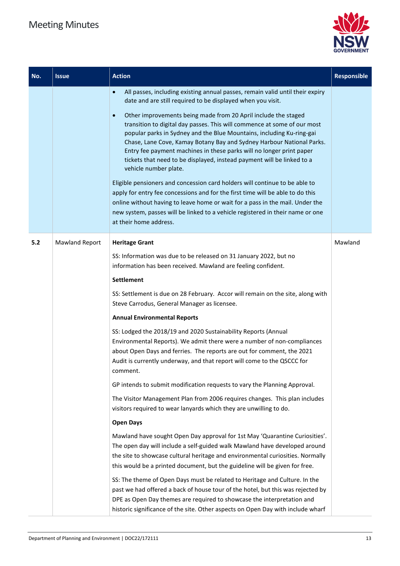

| No. | <b>Issue</b>          | <b>Action</b>                                                                                                                                                                                                                                                                                                                                                                                                                                                                                                                                                                                                                                                                                                                                                                                                                                                                                                                                                                                                                                                                                                                                                                                                                                                                                                                                                                                                                                                                                                                                                                             | <b>Responsible</b> |
|-----|-----------------------|-------------------------------------------------------------------------------------------------------------------------------------------------------------------------------------------------------------------------------------------------------------------------------------------------------------------------------------------------------------------------------------------------------------------------------------------------------------------------------------------------------------------------------------------------------------------------------------------------------------------------------------------------------------------------------------------------------------------------------------------------------------------------------------------------------------------------------------------------------------------------------------------------------------------------------------------------------------------------------------------------------------------------------------------------------------------------------------------------------------------------------------------------------------------------------------------------------------------------------------------------------------------------------------------------------------------------------------------------------------------------------------------------------------------------------------------------------------------------------------------------------------------------------------------------------------------------------------------|--------------------|
|     |                       | All passes, including existing annual passes, remain valid until their expiry<br>$\bullet$<br>date and are still required to be displayed when you visit.<br>Other improvements being made from 20 April include the staged<br>$\bullet$<br>transition to digital day passes. This will commence at some of our most<br>popular parks in Sydney and the Blue Mountains, including Ku-ring-gai<br>Chase, Lane Cove, Kamay Botany Bay and Sydney Harbour National Parks.<br>Entry fee payment machines in these parks will no longer print paper<br>tickets that need to be displayed, instead payment will be linked to a<br>vehicle number plate.<br>Eligible pensioners and concession card holders will continue to be able to<br>apply for entry fee concessions and for the first time will be able to do this<br>online without having to leave home or wait for a pass in the mail. Under the<br>new system, passes will be linked to a vehicle registered in their name or one<br>at their home address.                                                                                                                                                                                                                                                                                                                                                                                                                                                                                                                                                                           |                    |
| 5.2 | <b>Mawland Report</b> | <b>Heritage Grant</b><br>SS: Information was due to be released on 31 January 2022, but no<br>information has been received. Mawland are feeling confident.<br><b>Settlement</b><br>SS: Settlement is due on 28 February. Accor will remain on the site, along with<br>Steve Carrodus, General Manager as licensee.<br><b>Annual Environmental Reports</b><br>SS: Lodged the 2018/19 and 2020 Sustainability Reports (Annual<br>Environmental Reports). We admit there were a number of non-compliances<br>about Open Days and ferries. The reports are out for comment, the 2021<br>Audit is currently underway, and that report will come to the QSCCC for<br>comment.<br>GP intends to submit modification requests to vary the Planning Approval.<br>The Visitor Management Plan from 2006 requires changes. This plan includes<br>visitors required to wear lanyards which they are unwilling to do.<br><b>Open Days</b><br>Mawland have sought Open Day approval for 1st May 'Quarantine Curiosities'.<br>The open day will include a self-guided walk Mawland have developed around<br>the site to showcase cultural heritage and environmental curiosities. Normally<br>this would be a printed document, but the guideline will be given for free.<br>SS: The theme of Open Days must be related to Heritage and Culture. In the<br>past we had offered a back of house tour of the hotel, but this was rejected by<br>DPE as Open Day themes are required to showcase the interpretation and<br>historic significance of the site. Other aspects on Open Day with include wharf | Mawland            |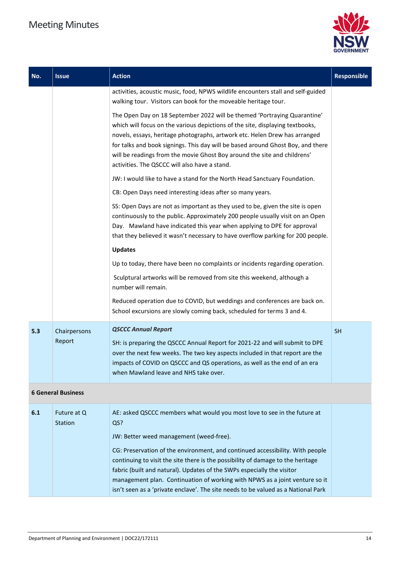

| No. | <b>Issue</b>              | <b>Action</b>                                                                                                                                                                                                                                                                                                                                                                                                                                           | <b>Responsible</b> |
|-----|---------------------------|---------------------------------------------------------------------------------------------------------------------------------------------------------------------------------------------------------------------------------------------------------------------------------------------------------------------------------------------------------------------------------------------------------------------------------------------------------|--------------------|
|     |                           | activities, acoustic music, food, NPWS wildlife encounters stall and self-guided<br>walking tour. Visitors can book for the moveable heritage tour.                                                                                                                                                                                                                                                                                                     |                    |
|     |                           | The Open Day on 18 September 2022 will be themed 'Portraying Quarantine'<br>which will focus on the various depictions of the site, displaying textbooks,<br>novels, essays, heritage photographs, artwork etc. Helen Drew has arranged<br>for talks and book signings. This day will be based around Ghost Boy, and there<br>will be readings from the movie Ghost Boy around the site and childrens'<br>activities. The QSCCC will also have a stand. |                    |
|     |                           | JW: I would like to have a stand for the North Head Sanctuary Foundation.                                                                                                                                                                                                                                                                                                                                                                               |                    |
|     |                           | CB: Open Days need interesting ideas after so many years.                                                                                                                                                                                                                                                                                                                                                                                               |                    |
|     |                           | SS: Open Days are not as important as they used to be, given the site is open<br>continuously to the public. Approximately 200 people usually visit on an Open<br>Day. Mawland have indicated this year when applying to DPE for approval<br>that they believed it wasn't necessary to have overflow parking for 200 people.<br><b>Updates</b>                                                                                                          |                    |
|     |                           | Up to today, there have been no complaints or incidents regarding operation.                                                                                                                                                                                                                                                                                                                                                                            |                    |
|     |                           | Sculptural artworks will be removed from site this weekend, although a<br>number will remain.                                                                                                                                                                                                                                                                                                                                                           |                    |
|     |                           | Reduced operation due to COVID, but weddings and conferences are back on.<br>School excursions are slowly coming back, scheduled for terms 3 and 4.                                                                                                                                                                                                                                                                                                     |                    |
| 5.3 | Chairpersons              | <b>QSCCC Annual Report</b>                                                                                                                                                                                                                                                                                                                                                                                                                              | <b>SH</b>          |
|     | Report                    | SH: is preparing the QSCCC Annual Report for 2021-22 and will submit to DPE<br>over the next few weeks. The two key aspects included in that report are the<br>impacts of COVID on QSCCC and QS operations, as well as the end of an era<br>when Mawland leave and NHS take over.                                                                                                                                                                       |                    |
|     | <b>6 General Business</b> |                                                                                                                                                                                                                                                                                                                                                                                                                                                         |                    |

| 6.1 | Future at Q<br><b>Station</b> | AE: asked QSCCC members what would you most love to see in the future at<br>QS?                                                                                  |  |
|-----|-------------------------------|------------------------------------------------------------------------------------------------------------------------------------------------------------------|--|
|     |                               | JW: Better weed management (weed-free).                                                                                                                          |  |
|     |                               | CG: Preservation of the environment, and continued accessibility. With people<br>continuing to visit the site there is the possibility of damage to the heritage |  |
|     |                               | fabric (built and natural). Updates of the SWPs especially the visitor<br>management plan. Continuation of working with NPWS as a joint venture so it            |  |
|     |                               | isn't seen as a 'private enclave'. The site needs to be valued as a National Park                                                                                |  |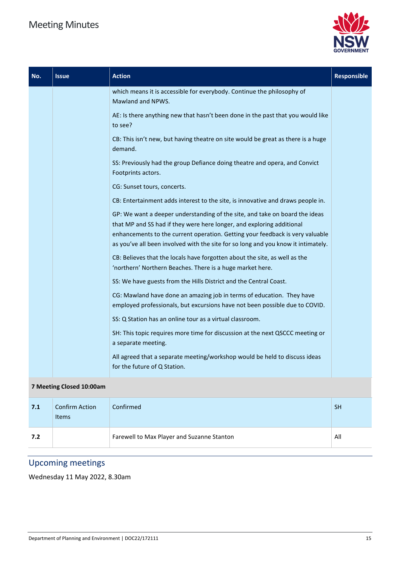

| No. | <b>Issue</b>             | <b>Action</b>                                                                                                                                                                                                                                                                                                              | <b>Responsible</b> |
|-----|--------------------------|----------------------------------------------------------------------------------------------------------------------------------------------------------------------------------------------------------------------------------------------------------------------------------------------------------------------------|--------------------|
|     |                          | which means it is accessible for everybody. Continue the philosophy of<br>Mawland and NPWS.                                                                                                                                                                                                                                |                    |
|     |                          | AE: Is there anything new that hasn't been done in the past that you would like<br>to see?                                                                                                                                                                                                                                 |                    |
|     |                          | CB: This isn't new, but having theatre on site would be great as there is a huge<br>demand.                                                                                                                                                                                                                                |                    |
|     |                          | SS: Previously had the group Defiance doing theatre and opera, and Convict<br>Footprints actors.                                                                                                                                                                                                                           |                    |
|     |                          | CG: Sunset tours, concerts.                                                                                                                                                                                                                                                                                                |                    |
|     |                          | CB: Entertainment adds interest to the site, is innovative and draws people in.                                                                                                                                                                                                                                            |                    |
|     |                          | GP: We want a deeper understanding of the site, and take on board the ideas<br>that MP and SS had if they were here longer, and exploring additional<br>enhancements to the current operation. Getting your feedback is very valuable<br>as you've all been involved with the site for so long and you know it intimately. |                    |
|     |                          | CB: Believes that the locals have forgotten about the site, as well as the<br>'northern' Northern Beaches. There is a huge market here.                                                                                                                                                                                    |                    |
|     |                          | SS: We have guests from the Hills District and the Central Coast.                                                                                                                                                                                                                                                          |                    |
|     |                          | CG: Mawland have done an amazing job in terms of education. They have<br>employed professionals, but excursions have not been possible due to COVID.                                                                                                                                                                       |                    |
|     |                          | SS: Q Station has an online tour as a virtual classroom.                                                                                                                                                                                                                                                                   |                    |
|     |                          | SH: This topic requires more time for discussion at the next QSCCC meeting or<br>a separate meeting.                                                                                                                                                                                                                       |                    |
|     |                          | All agreed that a separate meeting/workshop would be held to discuss ideas<br>for the future of Q Station.                                                                                                                                                                                                                 |                    |
|     | 7 Meeting Closed 10:00am |                                                                                                                                                                                                                                                                                                                            |                    |

## **7.1** Confirm Action Items Confirmed SH Confirmed SH  $\sim$  100  $\mu$  m  $\sim$  100  $\mu$  m  $\sim$  100  $\mu$  m  $\sim$  100  $\mu$ **7.2 Farewell to Max Player and Suzanne Stanton All** All

### Upcoming meetings

Wednesday 11 May 2022, 8.30am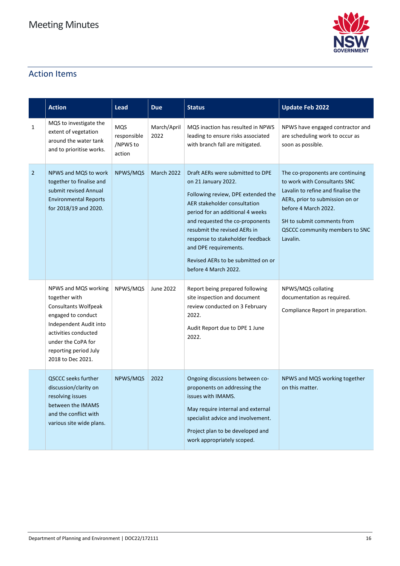

### Action Items

|                | <b>Action</b>                                                                                                                                                                                                    | Lead                                            | <b>Due</b>          | <b>Status</b>                                                                                                                                                                                                                                                                                                                                                   | <b>Update Feb 2022</b>                                                                                                                                                                                                                        |
|----------------|------------------------------------------------------------------------------------------------------------------------------------------------------------------------------------------------------------------|-------------------------------------------------|---------------------|-----------------------------------------------------------------------------------------------------------------------------------------------------------------------------------------------------------------------------------------------------------------------------------------------------------------------------------------------------------------|-----------------------------------------------------------------------------------------------------------------------------------------------------------------------------------------------------------------------------------------------|
| 1              | MQS to investigate the<br>extent of vegetation<br>around the water tank<br>and to prioritise works.                                                                                                              | <b>MQS</b><br>responsible<br>/NPWS to<br>action | March/April<br>2022 | MQS inaction has resulted in NPWS<br>leading to ensure risks associated<br>with branch fall are mitigated.                                                                                                                                                                                                                                                      | NPWS have engaged contractor and<br>are scheduling work to occur as<br>soon as possible.                                                                                                                                                      |
| $\overline{2}$ | NPWS and MQS to work<br>together to finalise and<br>submit revised Annual<br><b>Environmental Reports</b><br>for 2018/19 and 2020.                                                                               | NPWS/MQS                                        | <b>March 2022</b>   | Draft AERs were submitted to DPE<br>on 21 January 2022.<br>Following review, DPE extended the<br>AER stakeholder consultation<br>period for an additional 4 weeks<br>and requested the co-proponents<br>resubmit the revised AERs in<br>response to stakeholder feedback<br>and DPE requirements.<br>Revised AERs to be submitted on or<br>before 4 March 2022. | The co-proponents are continuing<br>to work with Consultants SNC<br>Lavalin to refine and finalise the<br>AERs, prior to submission on or<br>before 4 March 2022.<br>SH to submit comments from<br>QSCCC community members to SNC<br>Lavalin. |
|                | NPWS and MQS working<br>together with<br><b>Consultants Wolfpeak</b><br>engaged to conduct<br>Independent Audit into<br>activities conducted<br>under the CoPA for<br>reporting period July<br>2018 to Dec 2021. | NPWS/MQS                                        | June 2022           | Report being prepared following<br>site inspection and document<br>review conducted on 3 February<br>2022.<br>Audit Report due to DPE 1 June<br>2022.                                                                                                                                                                                                           | NPWS/MQS collating<br>documentation as required.<br>Compliance Report in preparation.                                                                                                                                                         |
|                | <b>QSCCC seeks further</b><br>discussion/clarity on<br>resolving issues<br>between the IMAMS<br>and the conflict with<br>various site wide plans.                                                                | NPWS/MQS                                        | 2022                | Ongoing discussions between co-<br>proponents on addressing the<br>issues with IMAMS.<br>May require internal and external<br>specialist advice and involvement.<br>Project plan to be developed and<br>work appropriately scoped.                                                                                                                              | NPWS and MQS working together<br>on this matter.                                                                                                                                                                                              |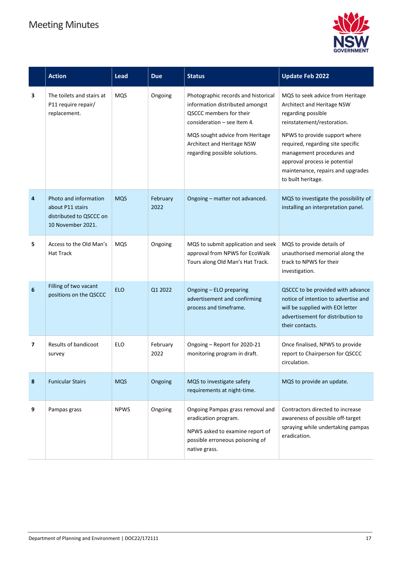

|                 | <b>Action</b>                                                                             | <b>Lead</b> | <b>Due</b>       | <b>Status</b>                                                                                                                                                                                                                        | <b>Update Feb 2022</b>                                                                                                                                                                                                                                                                                            |
|-----------------|-------------------------------------------------------------------------------------------|-------------|------------------|--------------------------------------------------------------------------------------------------------------------------------------------------------------------------------------------------------------------------------------|-------------------------------------------------------------------------------------------------------------------------------------------------------------------------------------------------------------------------------------------------------------------------------------------------------------------|
| 3               | The toilets and stairs at<br>P11 require repair/<br>replacement.                          | <b>MQS</b>  | Ongoing          | Photographic records and historical<br>information distributed amongst<br>QSCCC members for their<br>consideration $-$ see Item 4.<br>MQS sought advice from Heritage<br>Architect and Heritage NSW<br>regarding possible solutions. | MQS to seek advice from Heritage<br>Architect and Heritage NSW<br>regarding possible<br>reinstatement/restoration.<br>NPWS to provide support where<br>required, regarding site specific<br>management procedures and<br>approval process ie potential<br>maintenance, repairs and upgrades<br>to built heritage. |
| 4               | Photo and information<br>about P11 stairs<br>distributed to QSCCC on<br>10 November 2021. | <b>MQS</b>  | February<br>2022 | Ongoing – matter not advanced.                                                                                                                                                                                                       | MQS to investigate the possibility of<br>installing an interpretation panel.                                                                                                                                                                                                                                      |
| 5               | Access to the Old Man's<br><b>Hat Track</b>                                               | <b>MQS</b>  | Ongoing          | MQS to submit application and seek<br>approval from NPWS for EcoWalk<br>Tours along Old Man's Hat Track.                                                                                                                             | MQS to provide details of<br>unauthorised memorial along the<br>track to NPWS for their<br>investigation.                                                                                                                                                                                                         |
| $6\phantom{1}6$ | Filling of two vacant<br>positions on the QSCCC                                           | <b>ELO</b>  | Q1 2022          | Ongoing - ELO preparing<br>advertisement and confirming<br>process and timeframe.                                                                                                                                                    | QSCCC to be provided with advance<br>notice of intention to advertise and<br>will be supplied with EOI letter<br>advertisement for distribution to<br>their contacts.                                                                                                                                             |
| 7               | Results of bandicoot<br>survey                                                            | <b>ELO</b>  | February<br>2022 | Ongoing - Report for 2020-21<br>monitoring program in draft.                                                                                                                                                                         | Once finalised, NPWS to provide<br>report to Chairperson for QSCCC<br>circulation.                                                                                                                                                                                                                                |
| 8               | <b>Funicular Stairs</b>                                                                   | <b>MQS</b>  | Ongoing          | MQS to investigate safety<br>requirements at night-time.                                                                                                                                                                             | MQS to provide an update.                                                                                                                                                                                                                                                                                         |
| 9               | Pampas grass                                                                              | <b>NPWS</b> | Ongoing          | Ongoing Pampas grass removal and<br>eradication program.<br>NPWS asked to examine report of<br>possible erroneous poisoning of<br>native grass.                                                                                      | Contractors directed to increase<br>awareness of possible off-target<br>spraying while undertaking pampas<br>eradication.                                                                                                                                                                                         |